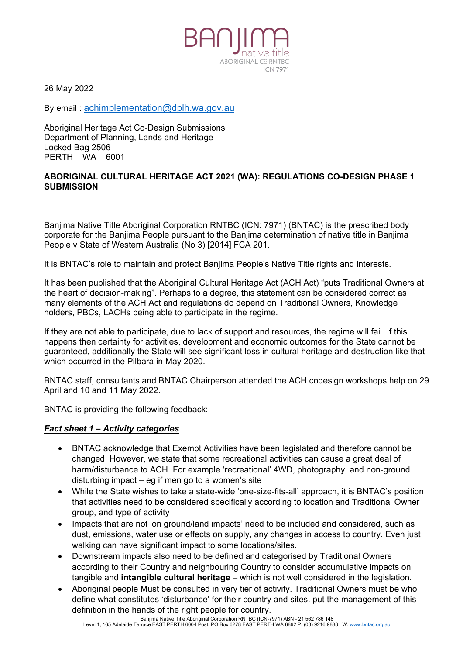26 May 2022

By email : [achimplementation@dplh.wa.gov.au](mailto:achimplementation@dplh.wa.gov.au)

Aboriginal Heritage Act Co-Design Submissions Department of Planning, Lands and Heritage Locked Bag 2506 PERTH WA 6001

#### **ABORIGINAL CULTURAL HERITAGE ACT 2021 (WA): REGULATIONS CO-DESIGN PHASE 1 SUBMISSION**

ABORIGINAL CORNTRO

**ICN 7971** 

Banjima Native Title Aboriginal Corporation RNTBC (ICN: 7971) (BNTAC) is the prescribed body corporate for the Banjima People pursuant to the Banjima determination of native title in Banjima People v State of Western Australia (No 3) [2014] FCA 201.

It is BNTAC's role to maintain and protect Banjima People's Native Title rights and interests.

It has been published that the Aboriginal Cultural Heritage Act (ACH Act) "puts Traditional Owners at the heart of decision-making". Perhaps to a degree, this statement can be considered correct as many elements of the ACH Act and regulations do depend on Traditional Owners, Knowledge holders, PBCs, LACHs being able to participate in the regime.

If they are not able to participate, due to lack of support and resources, the regime will fail. If this happens then certainty for activities, development and economic outcomes for the State cannot be guaranteed, additionally the State will see significant loss in cultural heritage and destruction like that which occurred in the Pilbara in May 2020.

BNTAC staff, consultants and BNTAC Chairperson attended the ACH codesign workshops help on 29 April and 10 and 11 May 2022.

BNTAC is providing the following feedback:

#### *Fact sheet 1 – Activity categories*

- BNTAC acknowledge that Exempt Activities have been legislated and therefore cannot be changed. However, we state that some recreational activities can cause a great deal of harm/disturbance to ACH. For example 'recreational' 4WD, photography, and non-ground disturbing impact – eg if men go to a women's site
- While the State wishes to take a state-wide 'one-size-fits-all' approach, it is BNTAC's position that activities need to be considered specifically according to location and Traditional Owner group, and type of activity
- Impacts that are not 'on ground/land impacts' need to be included and considered, such as dust, emissions, water use or effects on supply, any changes in access to country. Even just walking can have significant impact to some locations/sites.
- Downstream impacts also need to be defined and categorised by Traditional Owners according to their Country and neighbouring Country to consider accumulative impacts on tangible and **intangible cultural heritage** – which is not well considered in the legislation.
- Aboriginal people Must be consulted in very tier of activity. Traditional Owners must be who define what constitutes 'disturbance' for their country and sites. put the management of this definition in the hands of the right people for country.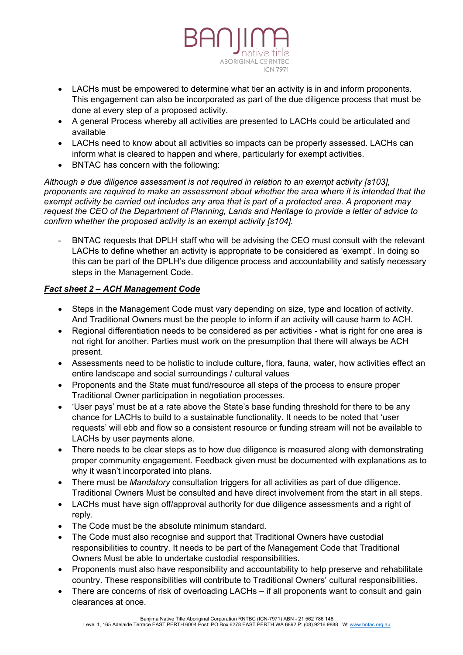

- LACHs must be empowered to determine what tier an activity is in and inform proponents. This engagement can also be incorporated as part of the due diligence process that must be done at every step of a proposed activity.
- A general Process whereby all activities are presented to LACHs could be articulated and available
- LACHs need to know about all activities so impacts can be properly assessed. LACHs can inform what is cleared to happen and where, particularly for exempt activities.
- BNTAC has concern with the following:

*Although a due diligence assessment is not required in relation to an exempt activity [s103], proponents are required to make an assessment about whether the area where it is intended that the exempt activity be carried out includes any area that is part of a protected area*. *A proponent may request the CEO of the Department of Planning, Lands and Heritage to provide a letter of advice to confirm whether the proposed activity is an exempt activity [s104].*

- BNTAC requests that DPLH staff who will be advising the CEO must consult with the relevant LACHs to define whether an activity is appropriate to be considered as 'exempt'. In doing so this can be part of the DPLH's due diligence process and accountability and satisfy necessary steps in the Management Code.

# *Fact sheet 2 – ACH Management Code*

- Steps in the Management Code must vary depending on size, type and location of activity. And Traditional Owners must be the people to inform if an activity will cause harm to ACH.
- Regional differentiation needs to be considered as per activities what is right for one area is not right for another. Parties must work on the presumption that there will always be ACH present.
- Assessments need to be holistic to include culture, flora, fauna, water, how activities effect an entire landscape and social surroundings / cultural values
- Proponents and the State must fund/resource all steps of the process to ensure proper Traditional Owner participation in negotiation processes.
- 'User pays' must be at a rate above the State's base funding threshold for there to be any chance for LACHs to build to a sustainable functionality. It needs to be noted that 'user requests' will ebb and flow so a consistent resource or funding stream will not be available to LACHs by user payments alone.
- There needs to be clear steps as to how due diligence is measured along with demonstrating proper community engagement. Feedback given must be documented with explanations as to why it wasn't incorporated into plans.
- There must be *Mandatory* consultation triggers for all activities as part of due diligence. Traditional Owners Must be consulted and have direct involvement from the start in all steps.
- LACHs must have sign off/approval authority for due diligence assessments and a right of reply.
- The Code must be the absolute minimum standard.
- The Code must also recognise and support that Traditional Owners have custodial responsibilities to country. It needs to be part of the Management Code that Traditional Owners Must be able to undertake custodial responsibilities.
- Proponents must also have responsibility and accountability to help preserve and rehabilitate country. These responsibilities will contribute to Traditional Owners' cultural responsibilities.
- There are concerns of risk of overloading LACHs if all proponents want to consult and gain clearances at once.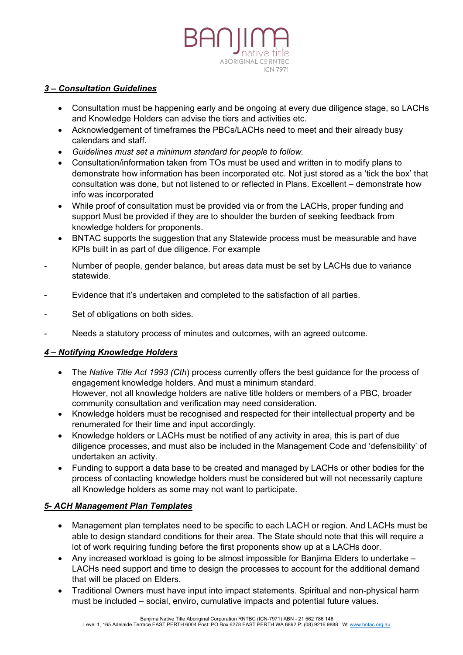

#### *3 – Consultation Guidelines*

- Consultation must be happening early and be ongoing at every due diligence stage, so LACHs and Knowledge Holders can advise the tiers and activities etc.
- Acknowledgement of timeframes the PBCs/LACHs need to meet and their already busy calendars and staff.
- *Guidelines must set a minimum standard for people to follow.*
- Consultation/information taken from TOs must be used and written in to modify plans to demonstrate how information has been incorporated etc. Not just stored as a 'tick the box' that consultation was done, but not listened to or reflected in Plans. Excellent – demonstrate how info was incorporated
- While proof of consultation must be provided via or from the LACHs, proper funding and support Must be provided if they are to shoulder the burden of seeking feedback from knowledge holders for proponents.
- BNTAC supports the suggestion that any Statewide process must be measurable and have KPIs built in as part of due diligence. For example
- Number of people, gender balance, but areas data must be set by LACHs due to variance statewide.
- Evidence that it's undertaken and completed to the satisfaction of all parties.
- Set of obligations on both sides.
- Needs a statutory process of minutes and outcomes, with an agreed outcome.

### *4 – Notifying Knowledge Holders*

- The *Native Title Act 1993 (Cth*) process currently offers the best guidance for the process of engagement knowledge holders. And must a minimum standard. However, not all knowledge holders are native title holders or members of a PBC, broader community consultation and verification may need consideration.
- Knowledge holders must be recognised and respected for their intellectual property and be renumerated for their time and input accordingly.
- Knowledge holders or LACHs must be notified of any activity in area, this is part of due diligence processes, and must also be included in the Management Code and 'defensibility' of undertaken an activity.
- Funding to support a data base to be created and managed by LACHs or other bodies for the process of contacting knowledge holders must be considered but will not necessarily capture all Knowledge holders as some may not want to participate.

### *5- ACH Management Plan Templates*

- Management plan templates need to be specific to each LACH or region. And LACHs must be able to design standard conditions for their area. The State should note that this will require a lot of work requiring funding before the first proponents show up at a LACHs door.
- Any increased workload is going to be almost impossible for Banjima Elders to undertake LACHs need support and time to design the processes to account for the additional demand that will be placed on Elders.
- Traditional Owners must have input into impact statements. Spiritual and non-physical harm must be included – social, enviro, cumulative impacts and potential future values.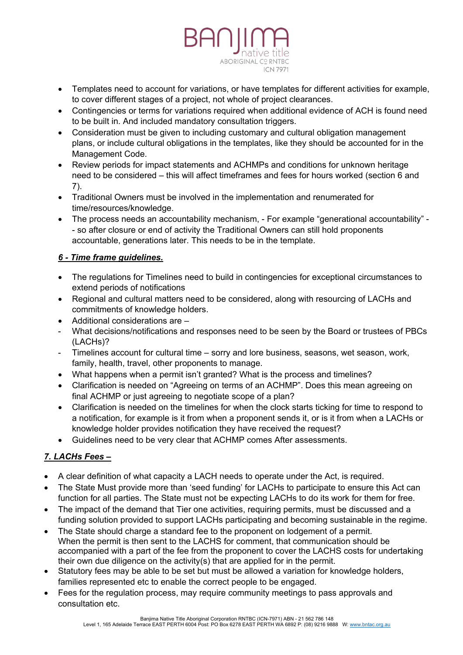

- Templates need to account for variations, or have templates for different activities for example, to cover different stages of a project, not whole of project clearances.
- Contingencies or terms for variations required when additional evidence of ACH is found need to be built in. And included mandatory consultation triggers.
- Consideration must be given to including customary and cultural obligation management plans, or include cultural obligations in the templates, like they should be accounted for in the Management Code.
- Review periods for impact statements and ACHMPs and conditions for unknown heritage need to be considered – this will affect timeframes and fees for hours worked (section 6 and 7).
- Traditional Owners must be involved in the implementation and renumerated for time/resources/knowledge.
- The process needs an accountability mechanism, For example "generational accountability" - so after closure or end of activity the Traditional Owners can still hold proponents accountable, generations later. This needs to be in the template.

## *6 - Time frame guidelines.*

- The regulations for Timelines need to build in contingencies for exceptional circumstances to extend periods of notifications
- Regional and cultural matters need to be considered, along with resourcing of LACHs and commitments of knowledge holders.
- Additional considerations are –
- What decisions/notifications and responses need to be seen by the Board or trustees of PBCs (LACHs)?
- Timelines account for cultural time sorry and lore business, seasons, wet season, work, family, health, travel, other proponents to manage.
- What happens when a permit isn't granted? What is the process and timelines?
- Clarification is needed on "Agreeing on terms of an ACHMP". Does this mean agreeing on final ACHMP or just agreeing to negotiate scope of a plan?
- Clarification is needed on the timelines for when the clock starts ticking for time to respond to a notification, for example is it from when a proponent sends it, or is it from when a LACHs or knowledge holder provides notification they have received the request?
- Guidelines need to be very clear that ACHMP comes After assessments.

# *7. LACHs Fees –*

- A clear definition of what capacity a LACH needs to operate under the Act, is required.
- The State Must provide more than 'seed funding' for LACHs to participate to ensure this Act can function for all parties. The State must not be expecting LACHs to do its work for them for free.
- The impact of the demand that Tier one activities, requiring permits, must be discussed and a funding solution provided to support LACHs participating and becoming sustainable in the regime.
- The State should charge a standard fee to the proponent on lodgement of a permit. When the permit is then sent to the LACHS for comment, that communication should be accompanied with a part of the fee from the proponent to cover the LACHS costs for undertaking their own due diligence on the activity(s) that are applied for in the permit.
- Statutory fees may be able to be set but must be allowed a variation for knowledge holders, families represented etc to enable the correct people to be engaged.
- Fees for the regulation process, may require community meetings to pass approvals and consultation etc.